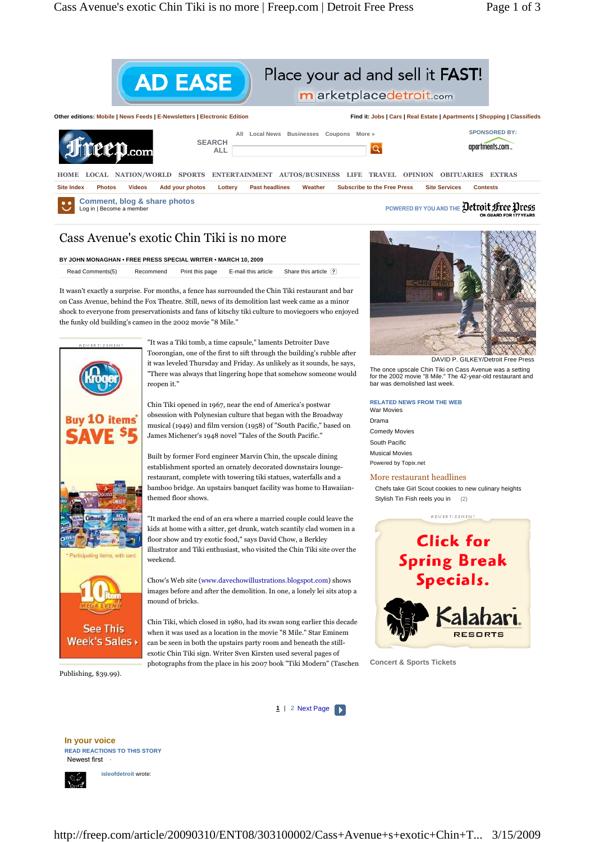

# Place your ad and sell it FAST!

m arketplacedetroit.com





### Cass Avenue's exotic Chin Tiki is no more

#### **BY JOHN MONAGHAN • FREE PRESS SPECIAL WRITER • MARCH 10, 2009**

Read Comments(5) Recommend Print this page E-mail this article Share this article

It wasn't exactly a surprise. For months, a fence has surrounded the Chin Tiki restaurant and bar on Cass Avenue, behind the Fox Theatre. Still, news of its demolition last week came as a minor shock to everyone from preservationists and fans of kitschy tiki culture to moviegoers who enjoyed the funky old building's cameo in the 2002 movie "8 Mile."



**See This** Week's Sales

"It was a Tiki tomb, a time capsule," laments Detroiter Dave Toorongian, one of the first to sift through the building's rubble after it was leveled Thursday and Friday. As unlikely as it sounds, he says, "There was always that lingering hope that somehow someone would reopen it."

Chin Tiki opened in 1967, near the end of America's postwar obsession with Polynesian culture that began with the Broadway musical (1949) and film version (1958) of "South Pacific," based on James Michener's 1948 novel "Tales of the South Pacific."

Built by former Ford engineer Marvin Chin, the upscale dining establishment sported an ornately decorated downstairs loungerestaurant, complete with towering tiki statues, waterfalls and a bamboo bridge. An upstairs banquet facility was home to Hawaiianthemed floor shows.

"It marked the end of an era where a married couple could leave the kids at home with a sitter, get drunk, watch scantily clad women in a floor show and try exotic food," says David Chow, a Berkley illustrator and Tiki enthusiast, who visited the Chin Tiki site over the weekend.

Chow's Web site (www.davechowillustrations.blogspot.com) shows images before and after the demolition. In one, a lonely lei sits atop a mound of bricks.

Chin Tiki, which closed in 1980, had its swan song earlier this decade when it was used as a location in the movie "8 Mile." Star Eminem can be seen in both the upstairs party room and beneath the stillexotic Chin Tiki sign. Writer Sven Kirsten used several pages of photographs from the place in his 2007 book "Tiki Modern" (Taschen



DAVID P. GILKEY/Detroit Free Press

The once upscale Chin Tiki on Cass Avenue was a setting for the 2002 movie "8 Mile." The 42-year-old restaurant and bar was demolished last week.

### **RELATED NEWS FROM THE WEB**

War Movies Drama Comedy Movies South Pacific Musical Movies Powered by Topix.net

### More restaurant headlines

Chefs take Girl Scout cookies to new culinary heights Stylish Tin Fish reels you in (2)



**Concert & Sports Tickets** 

Publishing, \$39.99).